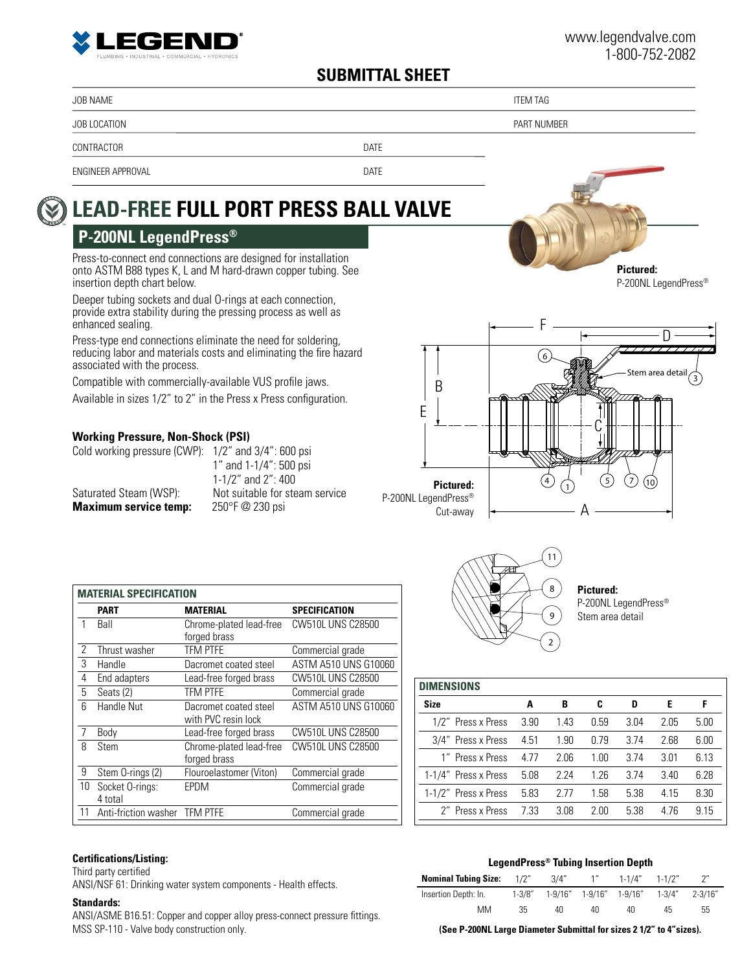

# **SUBMITTAL SHEET**

JOB NAME THE STATE OF THE STATE OF THE STATE OF THE STATE OF THE STATE OF THE STATE OF THE STATE OF THE STATE O

TM

JOB LOCATION PART NUMBER

CONTRACTOR DATE

CW510L UNS C28500

ASTM A510 UNS G10060

CW510L UNS C28500

ENGINEER APPROVAL DATE

#### **LEAD-FREE FULL PORT PRESS BALL VALVE <sup>N</sup><sup>O</sup> <sup>L</sup>EA<sup>D</sup> <sup>L</sup>EGEN<sup>D</sup>**

# **P-200NL LegendPress®**

Press-to-connect end connections are designed for installation onto ASTM B88 types K, L and M hard-drawn copper tubing. See insertion depth chart below.

Deeper tubing sockets and dual O-rings at each connection, provide extra stability during the pressing process as well as enhanced sealing.

Press-type end connections eliminate the need for soldering, reducing labor and materials costs and eliminating the fire hazard associated with the process.

Compatible with commercially-available VUS profile jaws.

Available in sizes 1/2" to 2" in the Press x Press configuration.

## **Working Pressure, Non-Shock (PSI)**

**MATERIAL SPECIFICATION**

| Cold working pressure (CWP): $1/2$ " and $3/4$ ": 600 psi |                                |
|-----------------------------------------------------------|--------------------------------|
|                                                           | 1" and $1-1/4$ ": 500 psi      |
|                                                           | 1-1/2" and $2"$ : 400          |
| Saturated Steam (WSP):                                    | Not suitable for steam service |
| <b>Maximum service temp:</b>                              | 250°F @ 230 psi                |

**PART MATERIAL SPECIFICATION**

2 Thrust washer TFM PTFE Commercial grade Handle Dacromet coated steel ASTM A510 UNS G10060 End adapters Lead-free forged brass CW510L UNS C28500 Seats (2) TFM PTFE Commercial grade

with PVC resin lock

9 Stem O-rings (2) Flouroelastomer (Viton) Commercial grade

11 Anti-friction washer TFM PTFE Commercial grade

forged brass

7 Body Lead-free forged brass CW510L UNS C28500

EPDM Commercial grade

forged brass<br>TFM PTFE

1 Ball Chrome-plated lead-free

6 Handle Nut Dacromet coated steel

8 Stem Chrome-plated lead-free



**Pictured:** P-200NL LegendPress® Stem area detail

| A    | в    | C    | D    | E    | F    |
|------|------|------|------|------|------|
| 3.90 | 1.43 | 0.59 | 3.04 | 2.05 | 5.00 |
| 4.51 | 1.90 | 0.79 | 3.74 | 2.68 | 6.00 |
| 4.77 | 2.06 | 1.00 | 3.74 | 3.01 | 6.13 |
| 5.08 | 2.24 | 1.26 | 374  | 3.40 | 6.28 |
| 5.83 | 2 77 | 1.58 | 5.38 | 4.15 | 8.30 |
| 7.33 | 3.08 | 2.00 | 5.38 | 4.76 | 9.15 |
|      |      |      |      |      |      |

### **Certifications/Listing:**

10 Socket O-rings: 4 total

Third party certified

ANSI/NSF 61: Drinking water system components - Health effects.

### **Standards:**

ANSI/ASME B16.51: Copper and copper alloy press-connect pressure fittings. MSS SP-110 - Valve body construction only.

| LegendPress® Tubing Insertion Depth |        |           |  |                                        |  |                    |  |
|-------------------------------------|--------|-----------|--|----------------------------------------|--|--------------------|--|
| <b>Nominal Tubing Size:</b> 1/2"    |        | $3/4"$ 1" |  | 1-1/4" 1-1/2"                          |  | $2^{\prime\prime}$ |  |
| Insertion Depth: In.                | 1-3/8″ |           |  | 1-9/16" 1-9/16" 1-9/16" 1-3/4" 2-3/16" |  |                    |  |

 MM 35 40 40 40 45 55 **(See P-200NL Large Diameter Submittal for sizes 2 1/2" to 4"sizes).**

**Pictured:**

P-200NL LegendPress®